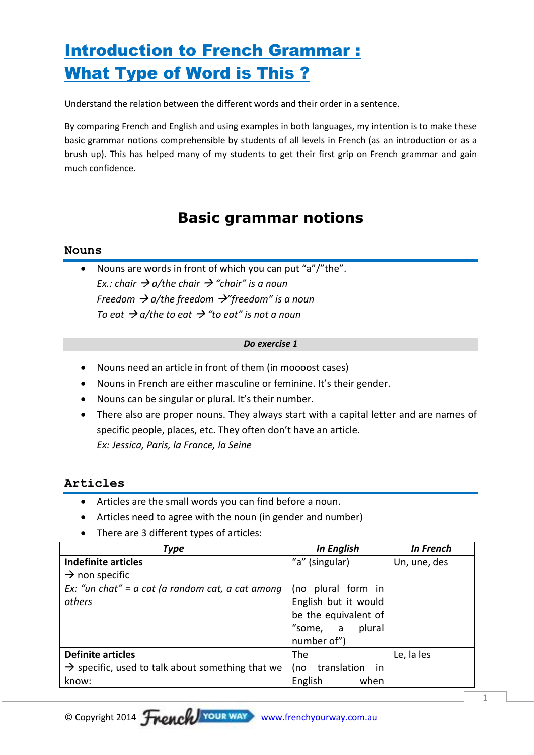# Introduction to French Grammar : What Type of Word is This ?

Understand the relation between the different words and their order in a sentence.

By comparing French and English and using examples in both languages, my intention is to make these basic grammar notions comprehensible by students of all levels in French (as an introduction or as a brush up). This has helped many of my students to get their first grip on French grammar and gain much confidence.

## **Basic grammar notions**

### **Nouns**

 Nouns are words in front of which you can put "a"/"the". *Ex.: chair a/the chair "chair" is a noun Freedom a/the freedom "freedom" is a noun To eat*  $\rightarrow$  *a/the to eat*  $\rightarrow$  "to eat" is not a noun

#### *Do exercise 1*

- Nouns need an article in front of them (in moooost cases)
- Nouns in French are either masculine or feminine. It's their gender.
- Nouns can be singular or plural. It's their number.
- There also are proper nouns. They always start with a capital letter and are names of specific people, places, etc. They often don't have an article. *Ex: Jessica, Paris, la France, la Seine*

### **Articles**

- Articles are the small words you can find before a noun.
- Articles need to agree with the noun (in gender and number)
- There are 3 different types of articles:

| Type                                                         | <b>In English</b>        | <b>In French</b> |
|--------------------------------------------------------------|--------------------------|------------------|
| <b>Indefinite articles</b>                                   | "a" (singular)           | Un, une, des     |
| $\rightarrow$ non specific                                   |                          |                  |
| Ex: "un chat" = $a$ cat (a random cat, a cat among           | (no plural form in       |                  |
| others                                                       | English but it would     |                  |
|                                                              | be the equivalent of     |                  |
|                                                              | "some, a<br>plural       |                  |
|                                                              | number of")              |                  |
| <b>Definite articles</b>                                     | The                      | Le, la les       |
| $\rightarrow$ specific, used to talk about something that we | translation<br>(no<br>in |                  |
| know:                                                        | English<br>when          |                  |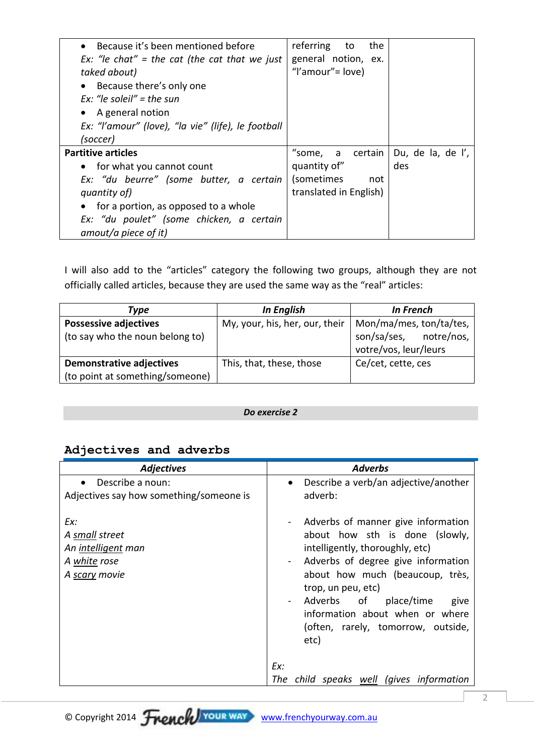| • Because it's been mentioned before               | referring to<br>the    |                   |
|----------------------------------------------------|------------------------|-------------------|
| Ex: "le chat" = the cat (the cat that we just      | general notion, ex.    |                   |
| taked about)                                       | "I'amour" = $love)$    |                   |
| • Because there's only one                         |                        |                   |
| Ex: "le soleil" = the sun                          |                        |                   |
| • A general notion                                 |                        |                   |
| Ex: "I'amour" (love), "la vie" (life), le football |                        |                   |
| (soccer)                                           |                        |                   |
| <b>Partitive articles</b>                          | "some, a certain       | Du, de la, de l', |
| • for what you cannot count                        | quantity of"           | des               |
| Ex: "du beurre" (some butter, a certain            | (sometimes<br>not      |                   |
| quantity of)                                       | translated in English) |                   |
| • for a portion, as opposed to a whole             |                        |                   |
| Ex: "du poulet" (some chicken, a certain           |                        |                   |
| amout/a piece of it)                               |                        |                   |

I will also add to the "articles" category the following two groups, although they are not officially called articles, because they are used the same way as the "real" articles:

| Tvpe                            | <b>In English</b>              | <b>In French</b>        |
|---------------------------------|--------------------------------|-------------------------|
| <b>Possessive adjectives</b>    | My, your, his, her, our, their | Mon/ma/mes, ton/ta/tes, |
| (to say who the noun belong to) |                                | son/sa/ses, notre/nos,  |
|                                 |                                | votre/vos, leur/leurs   |
| <b>Demonstrative adjectives</b> | This, that, these, those       | Ce/cet, cette, ces      |
| (to point at something/someone) |                                |                         |

### *Do exercise 2*

### **Adjectives and adverbs**

| <b>Adjectives</b>                                                            | <b>Adverbs</b>                                                                                                                                                                                                                                                                                                               |
|------------------------------------------------------------------------------|------------------------------------------------------------------------------------------------------------------------------------------------------------------------------------------------------------------------------------------------------------------------------------------------------------------------------|
| Describe a noun:<br>$\bullet$<br>Adjectives say how something/someone is     | Describe a verb/an adjective/another<br>$\bullet$<br>adverb:                                                                                                                                                                                                                                                                 |
| Ex:<br>A small street<br>An intelligent man<br>A white rose<br>A scary movie | - Adverbs of manner give information<br>about how sth is done (slowly,<br>intelligently, thoroughly, etc)<br>- Adverbs of degree give information<br>about how much (beaucoup, très,<br>trop, un peu, etc)<br>Adverbs of place/time<br>give<br>information about when or where<br>(often, rarely, tomorrow, outside,<br>etc) |
|                                                                              | Ex:                                                                                                                                                                                                                                                                                                                          |
|                                                                              | The child speaks well (gives information                                                                                                                                                                                                                                                                                     |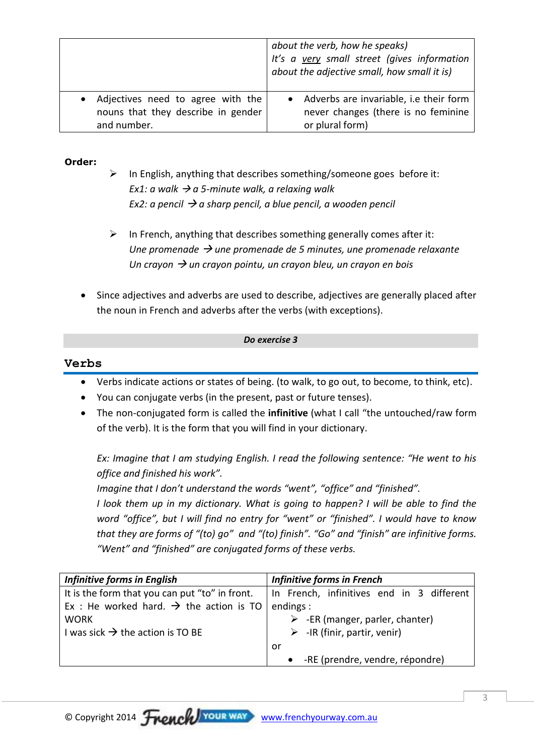|                                    | about the verb, how he speaks)<br>It's a very small street (gives information<br>about the adjective small, how small it is) |
|------------------------------------|------------------------------------------------------------------------------------------------------------------------------|
| Adjectives need to agree with the  | • Adverbs are invariable, i.e their form                                                                                     |
| nouns that they describe in gender | never changes (there is no feminine                                                                                          |
| and number.                        | or plural form)                                                                                                              |

### **Order:**

- $\triangleright$  In English, anything that describes something/someone goes before it: *Ex1: a walk*  $\rightarrow$  *a 5-minute walk, a relaxing walk Ex2: a pencil a sharp pencil, a blue pencil, a wooden pencil*
- $\triangleright$  In French, anything that describes something generally comes after it: *Une promenade une promenade de 5 minutes, une promenade relaxante Un crayon → un crayon pointu, un crayon bleu, un crayon en bois*
- Since adjectives and adverbs are used to describe, adjectives are generally placed after the noun in French and adverbs after the verbs (with exceptions).

#### *Do exercise 3*

### **Verbs**

- Verbs indicate actions or states of being. (to walk, to go out, to become, to think, etc).
- You can conjugate verbs (in the present, past or future tenses).
- The non-conjugated form is called the **infinitive** (what I call "the untouched/raw form of the verb). It is the form that you will find in your dictionary.

*Ex: Imagine that I am studying English. I read the following sentence: "He went to his office and finished his work".*

*Imagine that I don't understand the words "went", "office" and "finished".*

*I look them up in my dictionary. What is going to happen? I will be able to find the word "office", but I will find no entry for "went" or "finished". I would have to know that they are forms of "(to) go" and "(to) finish". "Go" and "finish" are infinitive forms. "Went" and "finished" are conjugated forms of these verbs.*

| <b>Infinitive forms in English</b>                              | <b>Infinitive forms in French</b>              |
|-----------------------------------------------------------------|------------------------------------------------|
| It is the form that you can put "to" in front.                  | In French, infinitives end in 3 different      |
| Ex : He worked hard. $\rightarrow$ the action is TO   endings : |                                                |
| <b>WORK</b>                                                     | $\triangleright$ -ER (manger, parler, chanter) |
| I was sick $\rightarrow$ the action is TO BE                    | $\triangleright$ -IR (finir, partir, venir)    |
|                                                                 | or                                             |
|                                                                 | -RE (prendre, vendre, répondre)                |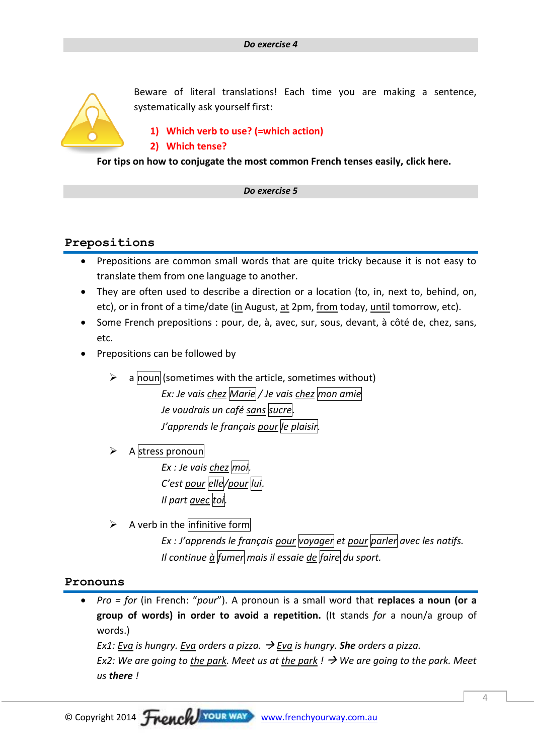

Beware of literal translations! Each time you are making a sentence, systematically ask yourself first:

## **1) Which verb to use? (=which action)**

### **2) Which tense?**

**For tips on how to conjugate the most common French tenses easily, click here.**

### *Do exercise 5*

### **Prepositions**

- Prepositions are common small words that are quite tricky because it is not easy to translate them from one language to another.
- They are often used to describe a direction or a location (to, in, next to, behind, on, etc), or in front of a time/date (in August, at 2pm, from today, until tomorrow, etc).
- Some French prepositions : pour, de, à, avec, sur, sous, devant, à côté de, chez, sans, etc.
- Prepositions can be followed by
	- a noun (sometimes with the article, sometimes without) *Ex: Je vais chez Marie / Je vais chez mon amie Je voudrais un café sans sucre. J'apprends le français pour le plaisir.*
	- A stress pronoun *Ex : Je vais chez moi. C'est pour elle/pour lui. Il part avec toi.*
	- $\triangleright$  A verb in the infinitive form *Ex : J'apprends le français pour voyager et pour parler avec les natifs. Il continue à fumer mais il essaie de faire du sport.*

### **Pronouns**

 *Pro = for* (in French: "*pour*"). A pronoun is a small word that **replaces a noun (or a group of words) in order to avoid a repetition.** (It stands *for* a noun/a group of words.)

*Ex1: Eva is hungry. Eva orders a pizza. Eva is hungry. She orders a pizza. Ex2: We are going to the park. Meet us at the park !*  $\rightarrow$  *We are going to the park. Meet us there !*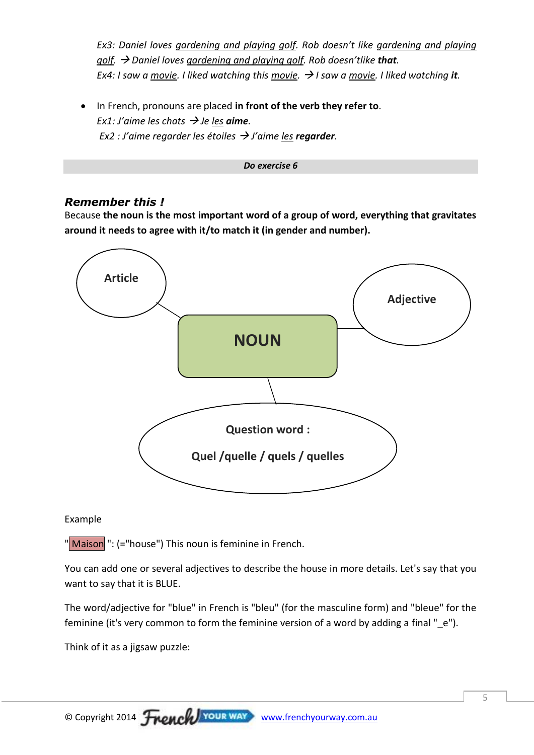*Ex3: Daniel loves gardening and playing golf. Rob doesn't like gardening and playing golf. Daniel loves gardening and playing golf. Rob doesn'tlike that. Ex4: I saw a movie. I liked watching this movie.*  $\rightarrow$  *I saw a movie. I liked watching it.* 

 In French, pronouns are placed **in front of the verb they refer to**. *Ex1: J'aime les chats*  $\rightarrow$  *Je les aime. Ex2 : J'aime regarder les étoiles*  $\rightarrow$  *J'aime <u>les</u> <i>regarder*.



### *Remember this !*

Because **the noun is the most important word of a group of word, everything that gravitates around it needs to agree with it/to match it (in gender and number).**



### Example

"Maison<sup>"</sup>: (="house") This noun is feminine in French.

You can add one or several adjectives to describe the house in more details. Let's say that you want to say that it is BLUE.

The word/adjective for "blue" in French is "bleu" (for the masculine form) and "bleue" for the feminine (it's very common to form the feminine version of a word by adding a final " e").

Think of it as a jigsaw puzzle: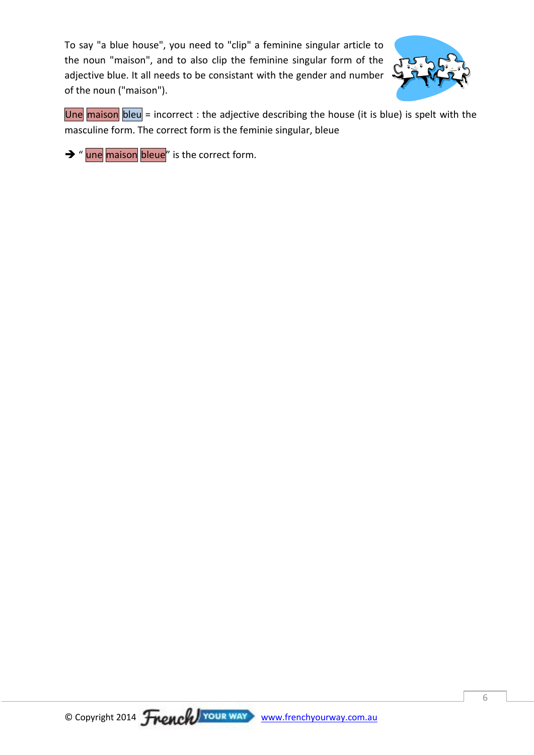To say "a blue house", you need to "clip" a feminine singular article to the noun "maison", and to also clip the feminine singular form of the adjective blue. It all needs to be consistant with the gender and number of the noun ("maison").



Une maison bleu = incorrect : the adjective describing the house (it is blue) is spelt with the masculine form. The correct form is the feminie singular, bleue

 $\rightarrow$  " une maison bleue" is the correct form.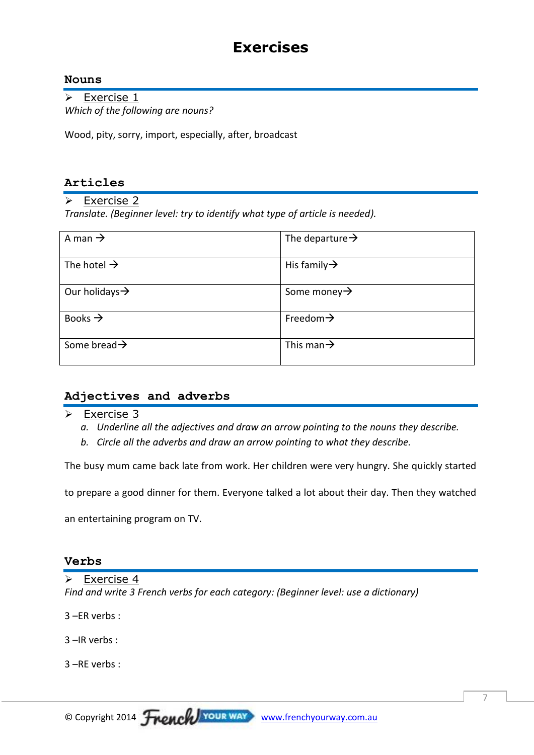## **Exercises**

### **Nouns**

 $\overline{\triangleright}$  Exercise 1 *Which of the following are nouns?*

Wood, pity, sorry, import, especially, after, broadcast

### **Articles**

 $\triangleright$  Exercise 2

*Translate. (Beginner level: try to identify what type of article is needed).* 

| A man $\rightarrow$        | The departure $\rightarrow$ |
|----------------------------|-----------------------------|
| The hotel $\rightarrow$    | His family $\rightarrow$    |
| Our holidays $\rightarrow$ | Some money $\rightarrow$    |
| Books $\rightarrow$        | Freedom $\rightarrow$       |
| Some bread $\rightarrow$   | This man $\rightarrow$      |

### **Adjectives and adverbs**

 $\triangleright$  Exercise 3

- *a. Underline all the adjectives and draw an arrow pointing to the nouns they describe.*
- *b. Circle all the adverbs and draw an arrow pointing to what they describe.*

The busy mum came back late from work. Her children were very hungry. She quickly started

to prepare a good dinner for them. Everyone talked a lot about their day. Then they watched

an entertaining program on TV.

### **Verbs**

 $\triangleright$  Exercise 4 *Find and write 3 French verbs for each category: (Beginner level: use a dictionary)*

3 –ER verbs :

3 –IR verbs :

3 –RE verbs :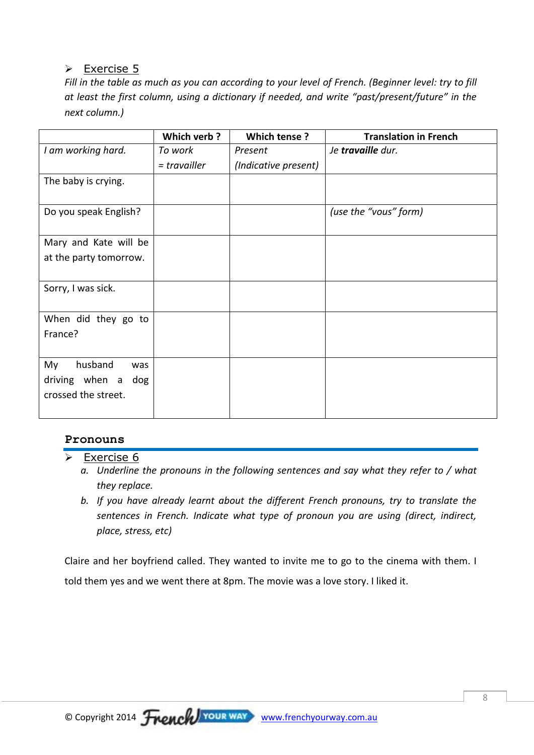### $\triangleright$  Exercise 5

*Fill in the table as much as you can according to your level of French. (Beginner level: try to fill at least the first column, using a dictionary if needed, and write "past/present/future" in the next column.)*

|                        | Which verb?    | Which tense?         | <b>Translation in French</b> |
|------------------------|----------------|----------------------|------------------------------|
| I am working hard.     | To work        | Present              | Je travaille dur.            |
|                        | $=$ travailler | (Indicative present) |                              |
| The baby is crying.    |                |                      |                              |
| Do you speak English?  |                |                      | (use the "vous" form)        |
| Mary and Kate will be  |                |                      |                              |
| at the party tomorrow. |                |                      |                              |
|                        |                |                      |                              |
| Sorry, I was sick.     |                |                      |                              |
| When did they go to    |                |                      |                              |
| France?                |                |                      |                              |
|                        |                |                      |                              |
| husband<br>My<br>was   |                |                      |                              |
| driving when a dog     |                |                      |                              |
| crossed the street.    |                |                      |                              |
|                        |                |                      |                              |

### **Pronouns**

- $\triangleright$  Exercise 6
	- *a. Underline the pronouns in the following sentences and say what they refer to / what they replace.*
	- *b. If you have already learnt about the different French pronouns, try to translate the sentences in French. Indicate what type of pronoun you are using (direct, indirect, place, stress, etc)*

Claire and her boyfriend called. They wanted to invite me to go to the cinema with them. I told them yes and we went there at 8pm. The movie was a love story. I liked it.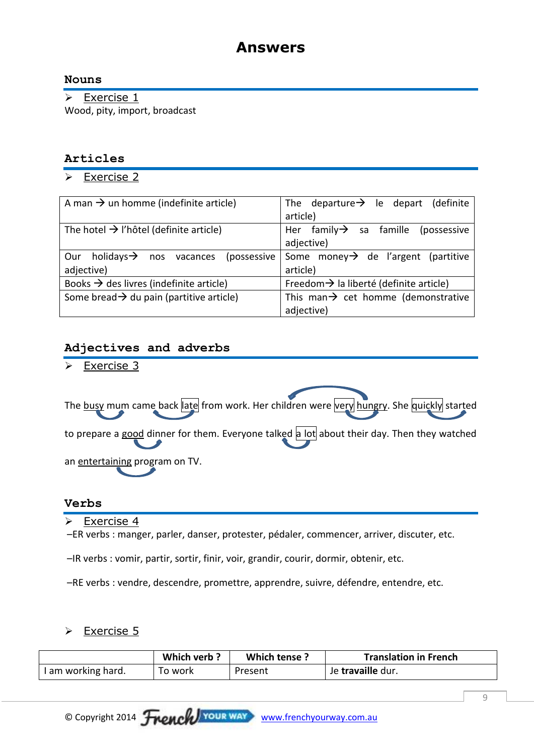## **Answers**

### **Nouns**

 $\triangleright$  Exercise 1 Wood, pity, import, broadcast

### **Articles**

 $\triangleright$  Exercise 2

| A man $\rightarrow$ un homme (indefinite article)         | The departure $\rightarrow$ le depart (definite     |  |
|-----------------------------------------------------------|-----------------------------------------------------|--|
|                                                           | article)                                            |  |
| The hotel $\rightarrow$ l'hôtel (definite article)        | Her family $\rightarrow$ sa famille (possessive     |  |
|                                                           | adjective)                                          |  |
| holidays $\rightarrow$ nos vacances<br>(possessive<br>Our | Some money $\rightarrow$ de l'argent (partitive     |  |
| adjective)                                                | article)                                            |  |
| Books $\rightarrow$ des livres (indefinite article)       | Freedom $\rightarrow$ la liberté (definite article) |  |
| Some bread $\rightarrow$ du pain (partitive article)      | This man $\rightarrow$ cet homme (demonstrative     |  |
|                                                           | adjective)                                          |  |

### **Adjectives and adverbs**

Exercise 3

| The busy mum came back ate from work. Her children were very hungry. She quickly started    |
|---------------------------------------------------------------------------------------------|
| to prepare a good dinner for them. Everyone talked a lot about their day. Then they watched |
| an entertaining program on TV.                                                              |

### **Verbs**

 $\triangleright$  Exercise 4

–ER verbs : manger, parler, danser, protester, pédaler, commencer, arriver, discuter, etc.

–IR verbs : vomir, partir, sortir, finir, voir, grandir, courir, dormir, obtenir, etc.

–RE verbs : vendre, descendre, promettre, apprendre, suivre, défendre, entendre, etc.

### **►** Exercise 5

|                    | Which verb? | Which tense? | <b>Translation in French</b> |
|--------------------|-------------|--------------|------------------------------|
| I am working hard. | To work     | Present      | Je travaille dur.            |